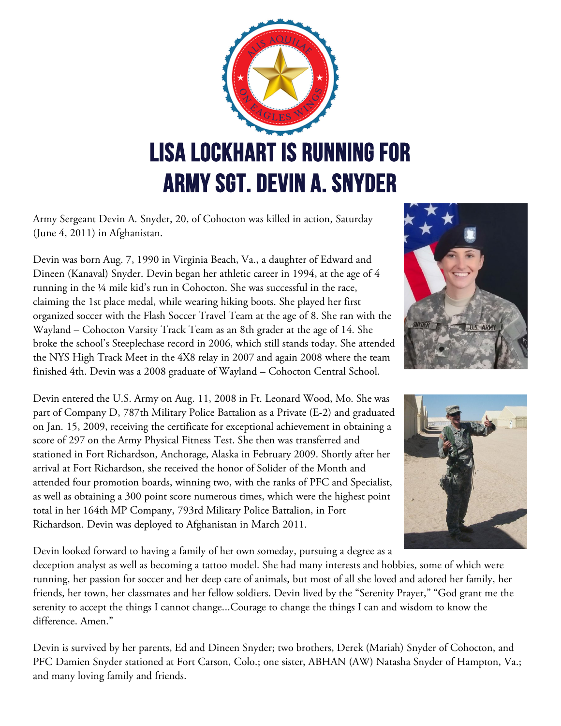

Army Sergeant Devin A. Snyder, 20, of Cohocton was killed in action, Saturday (June 4, 2011) in Afghanistan.

Devin was born Aug. 7, 1990 in Virginia Beach, Va., a daughter of Edward and Dineen (Kanaval) Snyder. Devin began her athletic career in 1994, at the age of 4 running in the ¼ mile kid's run in Cohocton. She was successful in the race, claiming the 1st place medal, while wearing hiking boots. She played her first organized soccer with the Flash Soccer Travel Team at the age of 8. She ran with the Wayland – Cohocton Varsity Track Team as an 8th grader at the age of 14. She broke the school's Steeplechase record in 2006, which still stands today. She attended the NYS High Track Meet in the 4X8 relay in 2007 and again 2008 where the team finished 4th. Devin was a 2008 graduate of Wayland – Cohocton Central School.

Devin entered the U.S. Army on Aug. 11, 2008 in Ft. Leonard Wood, Mo. She was part of Company D, 787th Military Police Battalion as a Private (E-2) and graduated on Jan. 15, 2009, receiving the certificate for exceptional achievement in obtaining a score of 297 on the Army Physical Fitness Test. She then was transferred and stationed in Fort Richardson, Anchorage, Alaska in February 2009. Shortly after her arrival at Fort Richardson, she received the honor of Solider of the Month and attended four promotion boards, winning two, with the ranks of PFC and Specialist, as well as obtaining a 300 point score numerous times, which were the highest point total in her 164th MP Company, 793rd Military Police Battalion, in Fort Richardson. Devin was deployed to Afghanistan in March 2011.





Devin looked forward to having a family of her own someday, pursuing a degree as a

deception analyst as well as becoming a tattoo model. She had many interests and hobbies, some of which were running, her passion for soccer and her deep care of animals, but most of all she loved and adored her family, her friends, her town, her classmates and her fellow soldiers. Devin lived by the "Serenity Prayer," "God grant me the serenity to accept the things I cannot change...Courage to change the things I can and wisdom to know the difference. Amen."

Devin is survived by her parents, Ed and Dineen Snyder; two brothers, Derek (Mariah) Snyder of Cohocton, and PFC Damien Snyder stationed at Fort Carson, Colo.; one sister, ABHAN (AW) Natasha Snyder of Hampton, Va.; and many loving family and friends.